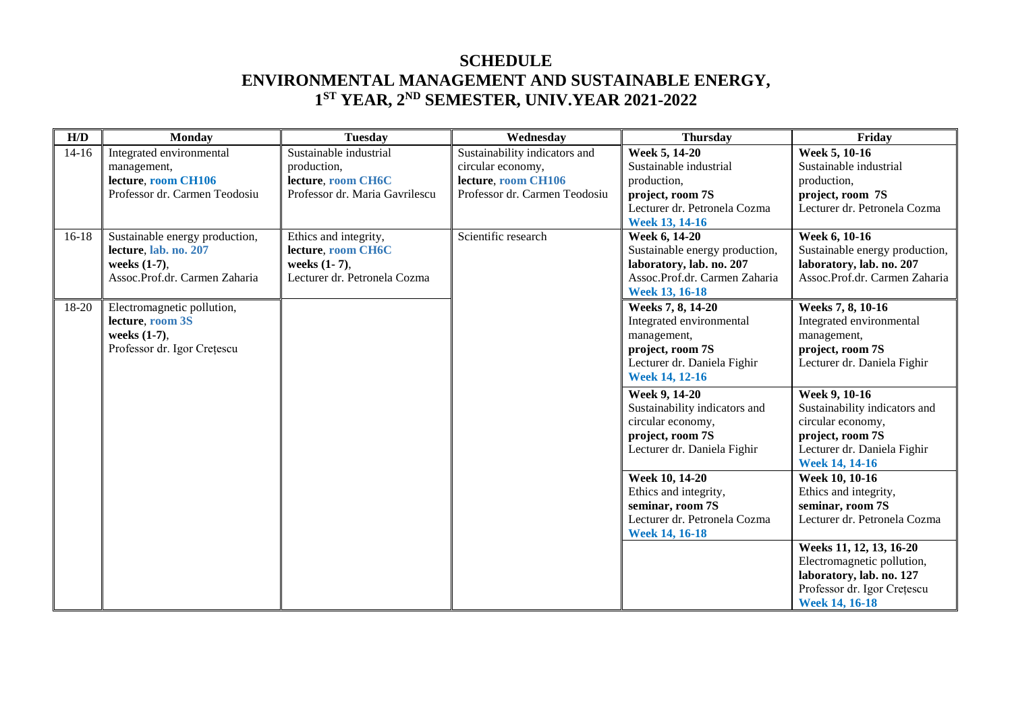## **SCHEDULE ENVIRONMENTAL MANAGEMENT AND SUSTAINABLE ENERGY, 1ST YEAR, 2ND SEMESTER, UNIV.YEAR 2021-2022**

| H/D     | <b>Monday</b>                                                                                            | <b>Tuesday</b>                                                                                | Wednesday                                                                                                  | <b>Thursday</b>                                                                                                                          | Friday                                                                                                                                          |
|---------|----------------------------------------------------------------------------------------------------------|-----------------------------------------------------------------------------------------------|------------------------------------------------------------------------------------------------------------|------------------------------------------------------------------------------------------------------------------------------------------|-------------------------------------------------------------------------------------------------------------------------------------------------|
| $14-16$ | Integrated environmental<br>management,<br>lecture, room CH106<br>Professor dr. Carmen Teodosiu          | Sustainable industrial<br>production,<br>lecture, room CH6C<br>Professor dr. Maria Gavrilescu | Sustainability indicators and<br>circular economy,<br>lecture, room CH106<br>Professor dr. Carmen Teodosiu | Week 5, 14-20<br>Sustainable industrial<br>production,<br>project, room 7S<br>Lecturer dr. Petronela Cozma<br>Week 13, 14-16             | Week 5, 10-16<br>Sustainable industrial<br>production,<br>project, room 7S<br>Lecturer dr. Petronela Cozma                                      |
| $16-18$ | Sustainable energy production,<br>lecture, lab. no. 207<br>weeks (1-7),<br>Assoc.Prof.dr. Carmen Zaharia | Ethics and integrity,<br>lecture, room CH6C<br>weeks (1-7),<br>Lecturer dr. Petronela Cozma   | Scientific research                                                                                        | Week 6, 14-20<br>Sustainable energy production,<br>laboratory, lab. no. 207<br>Assoc.Prof.dr. Carmen Zaharia<br>Week 13, 16-18           | <b>Week 6, 10-16</b><br>Sustainable energy production,<br>laboratory, lab. no. 207<br>Assoc.Prof.dr. Carmen Zaharia                             |
| 18-20   | Electromagnetic pollution,<br>lecture, room 3S<br>weeks (1-7),<br>Professor dr. Igor Crețescu            |                                                                                               |                                                                                                            | Weeks 7, 8, 14-20<br>Integrated environmental<br>management,<br>project, room 7S<br>Lecturer dr. Daniela Fighir<br><b>Week 14, 12-16</b> | Weeks 7, 8, 10-16<br>Integrated environmental<br>management,<br>project, room 7S<br>Lecturer dr. Daniela Fighir                                 |
|         |                                                                                                          |                                                                                               |                                                                                                            | Week 9, 14-20<br>Sustainability indicators and<br>circular economy,<br>project, room 7S<br>Lecturer dr. Daniela Fighir                   | Week 9, 10-16<br>Sustainability indicators and<br>circular economy,<br>project, room 7S<br>Lecturer dr. Daniela Fighir<br><b>Week 14, 14-16</b> |
|         |                                                                                                          |                                                                                               |                                                                                                            | <b>Week 10, 14-20</b><br>Ethics and integrity,<br>seminar, room 7S<br>Lecturer dr. Petronela Cozma<br><b>Week 14, 16-18</b>              | Week 10, 10-16<br>Ethics and integrity,<br>seminar, room 7S<br>Lecturer dr. Petronela Cozma                                                     |
|         |                                                                                                          |                                                                                               |                                                                                                            |                                                                                                                                          | Weeks 11, 12, 13, 16-20<br>Electromagnetic pollution,<br>laboratory, lab. no. 127<br>Professor dr. Igor Crețescu<br>Week 14, 16-18              |